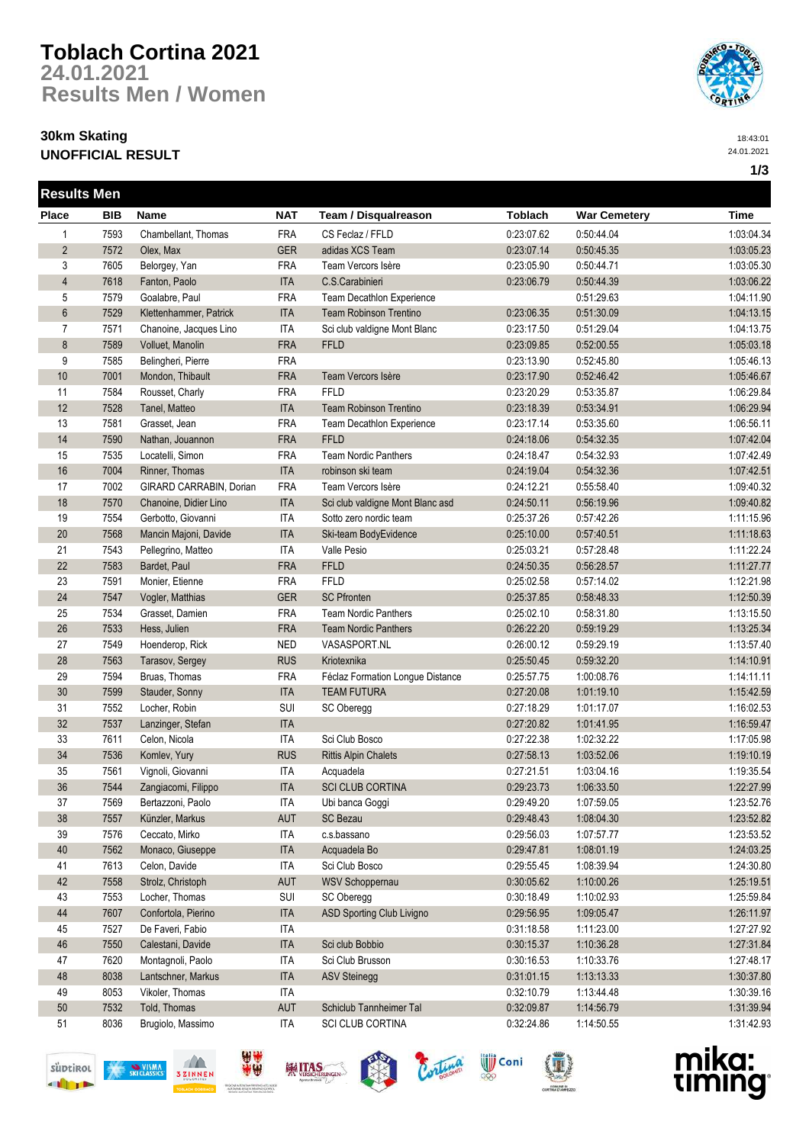# **Toblach Cortina 2021 24.01.2021 Results Men / Women**

### **30km Skating UNOFFICIAL RESULT**



18:43:01 24.01.2021

**1/3**

| <b>Results Men</b> |            |                         |            |                                  |                |                     |            |
|--------------------|------------|-------------------------|------------|----------------------------------|----------------|---------------------|------------|
| <b>Place</b>       | <b>BIB</b> | Name                    | <b>NAT</b> | Team / Disqualreason             | <b>Toblach</b> | <b>War Cemetery</b> | Time       |
| $\mathbf{1}$       | 7593       | Chambellant, Thomas     | <b>FRA</b> | CS Feclaz / FFLD                 | 0:23:07.62     | 0:50:44.04          | 1:03:04.34 |
| $\overline{2}$     | 7572       | Olex, Max               | <b>GER</b> | adidas XCS Team                  | 0:23:07.14     | 0:50:45.35          | 1:03:05.23 |
| 3                  | 7605       | Belorgey, Yan           | <b>FRA</b> | Team Vercors Isère               | 0:23:05.90     | 0:50:44.71          | 1:03:05.30 |
| $\overline{4}$     | 7618       | Fanton, Paolo           | <b>ITA</b> | C.S.Carabinieri                  | 0:23:06.79     | 0:50:44.39          | 1:03:06.22 |
| 5                  | 7579       | Goalabre, Paul          | <b>FRA</b> | Team Decathlon Experience        |                | 0:51:29.63          | 1:04:11.90 |
| 6                  | 7529       | Klettenhammer, Patrick  | <b>ITA</b> | <b>Team Robinson Trentino</b>    | 0:23:06.35     | 0:51:30.09          | 1:04:13.15 |
| $\overline{7}$     | 7571       | Chanoine, Jacques Lino  | ITA        | Sci club valdigne Mont Blanc     | 0:23:17.50     | 0:51:29.04          | 1:04:13.75 |
| 8                  | 7589       | Volluet, Manolin        | <b>FRA</b> | <b>FFLD</b>                      | 0:23:09.85     | 0:52:00.55          | 1:05:03.18 |
| 9                  | 7585       | Belingheri, Pierre      | <b>FRA</b> |                                  | 0:23:13.90     | 0:52:45.80          | 1:05:46.13 |
| 10                 | 7001       | Mondon, Thibault        | <b>FRA</b> | Team Vercors Isère               | 0:23:17.90     | 0:52:46.42          | 1:05:46.67 |
| 11                 | 7584       | Rousset, Charly         | <b>FRA</b> | FFLD                             | 0:23:20.29     | 0:53:35.87          | 1:06:29.84 |
| 12                 | 7528       | Tanel, Matteo           | <b>ITA</b> | <b>Team Robinson Trentino</b>    | 0:23:18.39     | 0:53:34.91          | 1:06:29.94 |
| 13                 | 7581       | Grasset, Jean           | <b>FRA</b> | Team Decathlon Experience        | 0:23:17.14     | 0:53:35.60          | 1:06:56.11 |
| 14                 | 7590       | Nathan, Jouannon        | <b>FRA</b> | <b>FFLD</b>                      | 0:24:18.06     | 0:54:32.35          | 1:07:42.04 |
| 15                 | 7535       | Locatelli, Simon        | <b>FRA</b> | <b>Team Nordic Panthers</b>      | 0:24:18.47     | 0:54:32.93          | 1:07:42.49 |
| 16                 | 7004       | Rinner, Thomas          | <b>ITA</b> | robinson ski team                | 0:24:19.04     | 0:54:32.36          | 1:07:42.51 |
| 17                 | 7002       | GIRARD CARRABIN, Dorian | <b>FRA</b> | Team Vercors Isère               | 0:24:12.21     | 0:55:58.40          | 1:09:40.32 |
| 18                 | 7570       | Chanoine, Didier Lino   | <b>ITA</b> | Sci club valdigne Mont Blanc asd | 0:24:50.11     | 0:56:19.96          | 1:09:40.82 |
| 19                 | 7554       | Gerbotto, Giovanni      | <b>ITA</b> | Sotto zero nordic team           | 0:25:37.26     | 0:57:42.26          | 1:11:15.96 |
| 20                 | 7568       | Mancin Majoni, Davide   | <b>ITA</b> | Ski-team BodyEvidence            | 0:25:10.00     | 0:57:40.51          | 1:11:18.63 |
| 21                 | 7543       | Pellegrino, Matteo      | <b>ITA</b> | Valle Pesio                      | 0:25:03.21     | 0:57:28.48          | 1:11:22.24 |
| 22                 | 7583       | Bardet, Paul            | <b>FRA</b> | <b>FFLD</b>                      | 0:24:50.35     | 0:56:28.57          | 1:11:27.77 |
| 23                 | 7591       | Monier, Etienne         | <b>FRA</b> | FFLD                             | 0:25:02.58     | 0:57:14.02          | 1:12:21.98 |
| 24                 | 7547       | Vogler, Matthias        | <b>GER</b> | <b>SC Pfronten</b>               | 0:25:37.85     | 0:58:48.33          | 1:12:50.39 |
| 25                 | 7534       | Grasset, Damien         | <b>FRA</b> | <b>Team Nordic Panthers</b>      | 0:25:02.10     | 0:58:31.80          | 1:13:15.50 |
| 26                 | 7533       | Hess, Julien            | <b>FRA</b> | <b>Team Nordic Panthers</b>      | 0:26:22.20     | 0:59:19.29          | 1:13:25.34 |
| 27                 | 7549       | Hoenderop, Rick         | <b>NED</b> | VASASPORT.NL                     | 0:26:00.12     | 0:59:29.19          | 1:13:57.40 |
| 28                 | 7563       | Tarasov, Sergey         | <b>RUS</b> | Kriotexnika                      | 0:25:50.45     | 0:59:32.20          | 1:14:10.91 |
| 29                 | 7594       | Bruas, Thomas           | <b>FRA</b> | Féclaz Formation Longue Distance | 0:25:57.75     | 1:00:08.76          | 1:14:11.11 |
| 30                 | 7599       | Stauder, Sonny          | <b>ITA</b> | <b>TEAM FUTURA</b>               | 0:27:20.08     | 1:01:19.10          | 1:15:42.59 |
| 31                 | 7552       | Locher, Robin           | SUI        | SC Oberegg                       | 0:27:18.29     | 1:01:17.07          | 1:16:02.53 |
| 32                 | 7537       | Lanzinger, Stefan       | <b>ITA</b> |                                  | 0:27:20.82     | 1:01:41.95          | 1:16:59.47 |
| 33                 | 7611       | Celon, Nicola           | <b>ITA</b> | Sci Club Bosco                   | 0:27:22.38     | 1:02:32.22          | 1:17:05.98 |
| 34                 | 7536       | Komlev, Yury            | <b>RUS</b> | <b>Rittis Alpin Chalets</b>      | 0:27:58.13     | 1:03:52.06          | 1:19:10.19 |
| 35                 | 7561       | Vignoli, Giovanni       | <b>ITA</b> | Acquadela                        | 0:27:21.51     | 1:03:04.16          | 1:19:35.54 |
| 36                 | 7544       | Zangiacomi, Filippo     | <b>ITA</b> | <b>SCI CLUB CORTINA</b>          | 0:29:23.73     | 1:06:33.50          | 1:22:27.99 |
| 37                 | 7569       | Bertazzoni, Paolo       | ITA        | Ubi banca Goggi                  | 0:29:49.20     | 1:07:59.05          | 1:23:52.76 |
| 38                 | 7557       | Künzler, Markus         | <b>AUT</b> | <b>SC Bezau</b>                  | 0:29:48.43     | 1:08:04.30          | 1:23:52.82 |
| 39                 | 7576       | Ceccato, Mirko          | <b>ITA</b> | c.s.bassano                      | 0:29:56.03     | 1:07:57.77          | 1:23:53.52 |
| 40                 | 7562       | Monaco, Giuseppe        | <b>ITA</b> | Acquadela Bo                     | 0:29:47.81     | 1:08:01.19          | 1:24:03.25 |
| 41                 | 7613       | Celon, Davide           | <b>ITA</b> | Sci Club Bosco                   | 0:29:55.45     | 1:08:39.94          | 1:24:30.80 |
| 42                 | 7558       | Strolz, Christoph       | AUT        | WSV Schoppernau                  | 0:30:05.62     | 1:10:00.26          | 1:25:19.51 |
| 43                 | 7553       | Locher, Thomas          | SUI        | SC Oberegg                       | 0:30:18.49     | 1:10:02.93          | 1:25:59.84 |
| 44                 | 7607       | Confortola, Pierino     | <b>ITA</b> | ASD Sporting Club Livigno        | 0:29:56.95     | 1:09:05.47          | 1:26:11.97 |
| 45                 | 7527       | De Faveri, Fabio        | <b>ITA</b> |                                  | 0:31:18.58     | 1:11:23.00          | 1:27:27.92 |
| 46                 | 7550       | Calestani, Davide       | <b>ITA</b> | Sci club Bobbio                  | 0:30:15.37     | 1:10:36.28          | 1:27:31.84 |
| 47                 | 7620       | Montagnoli, Paolo       | <b>ITA</b> | Sci Club Brusson                 | 0:30:16.53     | 1:10:33.76          | 1:27:48.17 |
| 48                 | 8038       | Lantschner, Markus      | <b>ITA</b> | <b>ASV Steinegg</b>              | 0:31:01.15     | 1:13:13.33          | 1:30:37.80 |
| 49                 | 8053       | Vikoler, Thomas         | <b>ITA</b> |                                  | 0:32:10.79     | 1:13:44.48          | 1:30:39.16 |
| $50\,$             | 7532       | Told, Thomas            | AUT        | Schiclub Tannheimer Tal          | 0:32:09.87     | 1:14:56.79          | 1:31:39.94 |
| 51                 | 8036       | Brugiolo, Massimo       | <b>ITA</b> |                                  |                |                     |            |
|                    |            |                         |            | SCI CLUB CORTINA                 | 0:32:24.86     | 1:14:50.55          | 1:31:42.93 |













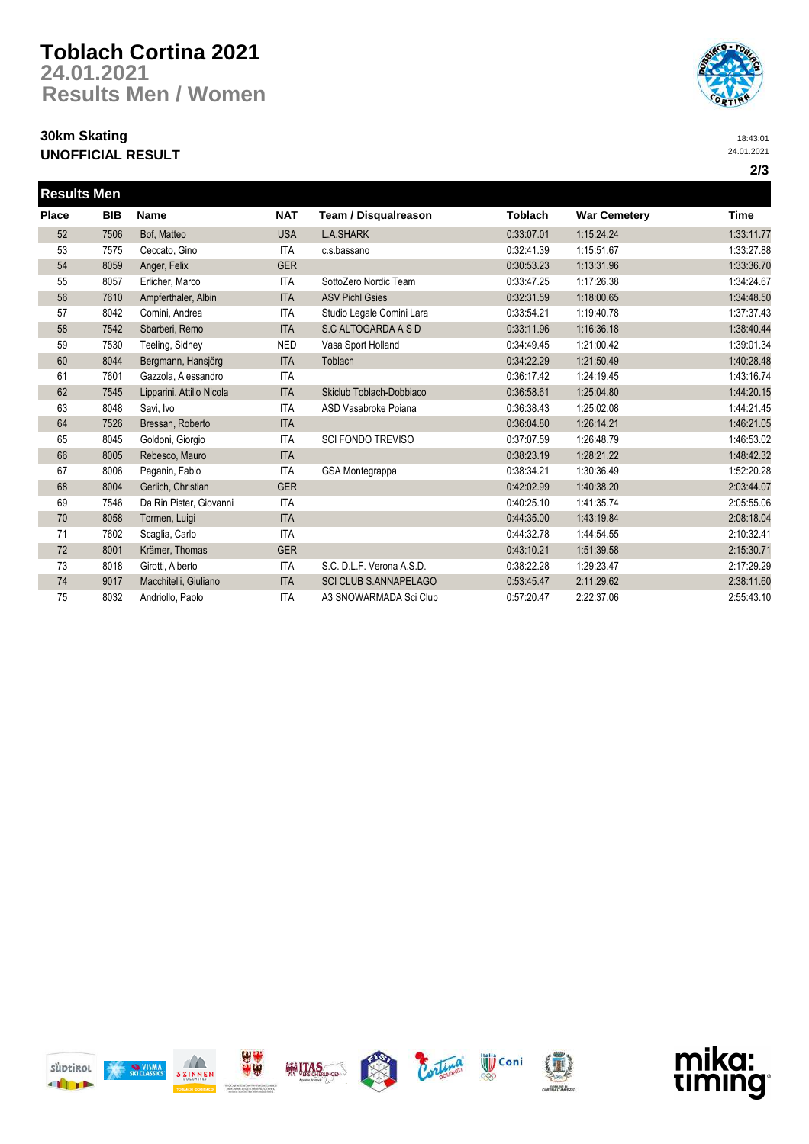## **Toblach Cortina 2021 24.01.2021 Results Men / Women**

### **30km Skating UNOFFICIAL RESULT**



18:43:01 24.01.2021

| <b>Results Men</b> |            |                           |            |                              |                |                     |             |
|--------------------|------------|---------------------------|------------|------------------------------|----------------|---------------------|-------------|
| Place              | <b>BIB</b> | <b>Name</b>               | <b>NAT</b> | Team / Disqualreason         | <b>Toblach</b> | <b>War Cemetery</b> | <b>Time</b> |
| 52                 | 7506       | Bof, Matteo               | <b>USA</b> | <b>L.A.SHARK</b>             | 0:33:07.01     | 1:15:24.24          | 1:33:11.77  |
| 53                 | 7575       | Ceccato, Gino             | <b>ITA</b> | c.s.bassano                  | 0:32:41.39     | 1:15:51.67          | 1:33:27.88  |
| 54                 | 8059       | Anger, Felix              | <b>GER</b> |                              | 0:30:53.23     | 1:13:31.96          | 1:33:36.70  |
| 55                 | 8057       | Erlicher, Marco           | <b>ITA</b> | SottoZero Nordic Team        | 0:33:47.25     | 1:17:26.38          | 1:34:24.67  |
| 56                 | 7610       | Ampferthaler, Albin       | <b>ITA</b> | <b>ASV Pichl Gsies</b>       | 0:32:31.59     | 1:18:00.65          | 1:34:48.50  |
| 57                 | 8042       | Comini, Andrea            | ITA        | Studio Legale Comini Lara    | 0:33:54.21     | 1:19:40.78          | 1:37:37.43  |
| 58                 | 7542       | Sbarberi, Remo            | <b>ITA</b> | S.C ALTOGARDA A S D          | 0:33:11.96     | 1:16:36.18          | 1:38:40.44  |
| 59                 | 7530       | Teeling, Sidney           | <b>NED</b> | Vasa Sport Holland           | 0:34:49.45     | 1:21:00.42          | 1:39:01.34  |
| 60                 | 8044       | Bergmann, Hansjörg        | <b>ITA</b> | Toblach                      | 0:34:22.29     | 1:21:50.49          | 1:40:28.48  |
| 61                 | 7601       | Gazzola, Alessandro       | <b>ITA</b> |                              | 0:36:17.42     | 1:24:19.45          | 1:43:16.74  |
| 62                 | 7545       | Lipparini, Attilio Nicola | <b>ITA</b> | Skiclub Toblach-Dobbiaco     | 0:36:58.61     | 1:25:04.80          | 1:44:20.15  |
| 63                 | 8048       | Savi, Ivo                 | <b>ITA</b> | ASD Vasabroke Poiana         | 0:36:38.43     | 1:25:02.08          | 1:44:21.45  |
| 64                 | 7526       | Bressan, Roberto          | <b>ITA</b> |                              | 0:36:04.80     | 1:26:14.21          | 1:46:21.05  |
| 65                 | 8045       | Goldoni, Giorgio          | <b>ITA</b> | SCI FONDO TREVISO            | 0:37:07.59     | 1:26:48.79          | 1:46:53.02  |
| 66                 | 8005       | Rebesco, Mauro            | <b>ITA</b> |                              | 0:38:23.19     | 1:28:21.22          | 1:48:42.32  |
| 67                 | 8006       | Paganin, Fabio            | <b>ITA</b> | GSA Montegrappa              | 0:38:34.21     | 1:30:36.49          | 1:52:20.28  |
| 68                 | 8004       | Gerlich, Christian        | <b>GER</b> |                              | 0:42:02.99     | 1:40:38.20          | 2:03:44.07  |
| 69                 | 7546       | Da Rin Pister, Giovanni   | <b>ITA</b> |                              | 0:40:25.10     | 1:41:35.74          | 2:05:55.06  |
| 70                 | 8058       | Tormen, Luigi             | <b>ITA</b> |                              | 0:44:35.00     | 1:43:19.84          | 2:08:18.04  |
| 71                 | 7602       | Scaglia, Carlo            | <b>ITA</b> |                              | 0:44:32.78     | 1:44:54.55          | 2:10:32.41  |
| 72                 | 8001       | Krämer, Thomas            | <b>GER</b> |                              | 0:43:10.21     | 1:51:39.58          | 2:15:30.71  |
| 73                 | 8018       | Girotti, Alberto          | <b>ITA</b> | S.C. D.L.F. Verona A.S.D.    | 0:38:22.28     | 1:29:23.47          | 2:17:29.29  |
| 74                 | 9017       | Macchitelli, Giuliano     | <b>ITA</b> | <b>SCI CLUB S.ANNAPELAGO</b> | 0:53:45.47     | 2:11:29.62          | 2:38:11.60  |
| 75                 | 8032       | Andriollo, Paolo          | ITA        | A3 SNOWARMADA Sci Club       | 0:57:20.47     | 2:22:37.06          | 2:55:43.10  |







**TA** 







mika:

timing